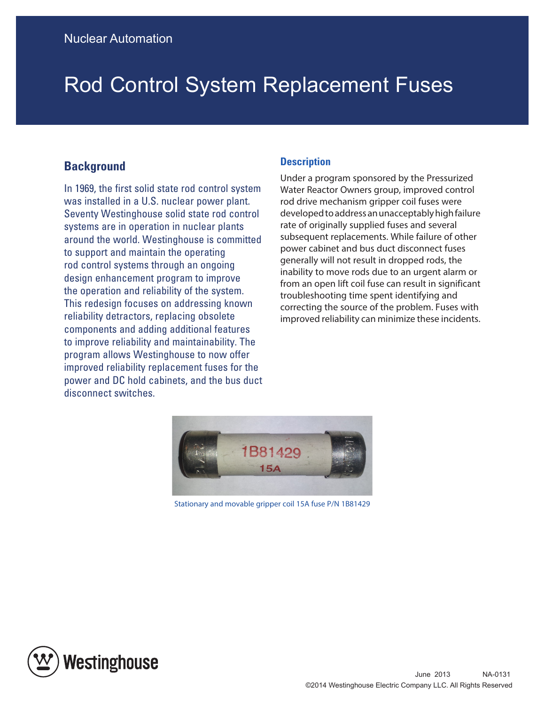## Rod Control System Replacement Fuses

## **Background**

In 1969, the first solid state rod control system was installed in a U.S. nuclear power plant. Seventy Westinghouse solid state rod control systems are in operation in nuclear plants around the world. Westinghouse is committed to support and maintain the operating rod control systems through an ongoing design enhancement program to improve the operation and reliability of the system. This redesign focuses on addressing known reliability detractors, replacing obsolete components and adding additional features to improve reliability and maintainability. The program allows Westinghouse to now offer improved reliability replacement fuses for the power and DC hold cabinets, and the bus duct disconnect switches.

## **Description**

Under a program sponsored by the Pressurized Water Reactor Owners group, improved control rod drive mechanism gripper coil fuses were developed to address an unacceptably high failure rate of originally supplied fuses and several subsequent replacements. While failure of other power cabinet and bus duct disconnect fuses generally will not result in dropped rods, the inability to move rods due to an urgent alarm or from an open lift coil fuse can result in significant troubleshooting time spent identifying and correcting the source of the problem. Fuses with improved reliability can minimize these incidents.



Stationary and movable gripper coil 15A fuse P/N 1B81429